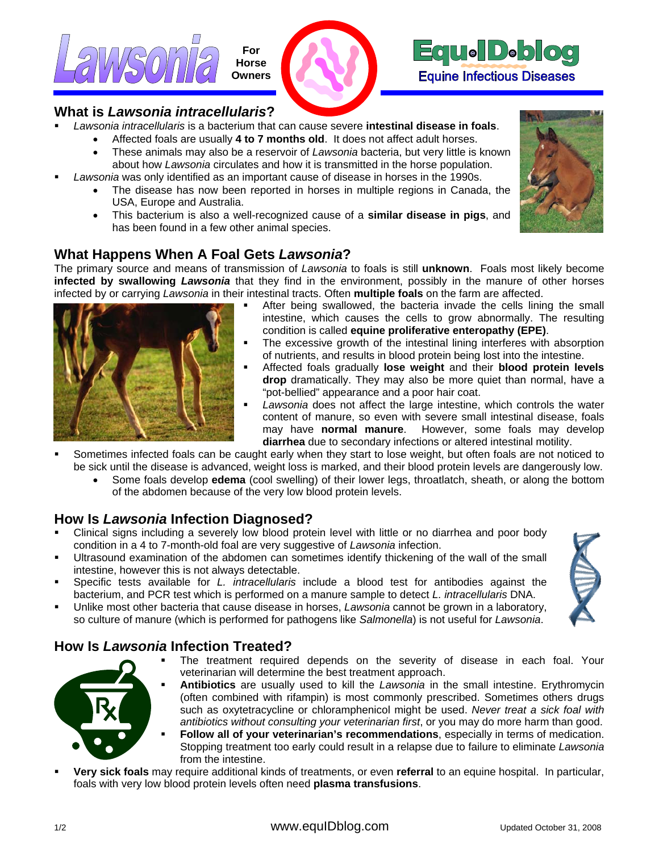



#### **What is** *Lawsonia intracellularis***?**

- *Lawsonia intracellularis* is a bacterium that can cause severe **intestinal disease in foals**.
	- Affected foals are usually **4 to 7 months old**. It does not affect adult horses.
	- These animals may also be a reservoir of *Lawsonia* bacteria, but very little is known about how *Lawsonia* circulates and how it is transmitted in the horse population.
- *Lawsonia* was only identified as an important cause of disease in horses in the 1990s.
	- The disease has now been reported in horses in multiple regions in Canada, the USA, Europe and Australia.
	- This bacterium is also a well-recognized cause of a **similar disease in pigs**, and has been found in a few other animal species.

## **What Happens When A Foal Gets** *Lawsonia***?**

The primary source and means of transmission of *Lawsonia* to foals is still **unknown**. Foals most likely become **infected by swallowing** *Lawsonia* that they find in the environment, possibly in the manure of other horses infected by or carrying *Lawsonia* in their intestinal tracts. Often **multiple foals** on the farm are affected.



- After being swallowed, the bacteria invade the cells lining the small intestine, which causes the cells to grow abnormally. The resulting condition is called **equine proliferative enteropathy (EPE)**.
- The excessive growth of the intestinal lining interferes with absorption of nutrients, and results in blood protein being lost into the intestine.
- Affected foals gradually **lose weight** and their **blood protein levels drop** dramatically. They may also be more quiet than normal, have a "pot-bellied" appearance and a poor hair coat.
- *Lawsonia* does not affect the large intestine, which controls the water content of manure, so even with severe small intestinal disease, foals may have **normal manure**. However, some foals may develop **diarrhea** due to secondary infections or altered intestinal motility.
- Sometimes infected foals can be caught early when they start to lose weight, but often foals are not noticed to be sick until the disease is advanced, weight loss is marked, and their blood protein levels are dangerously low.
	- Some foals develop **edema** (cool swelling) of their lower legs, throatlatch, sheath, or along the bottom of the abdomen because of the very low blood protein levels.

#### **How Is** *Lawsonia* **Infection Diagnosed?**

- Clinical signs including a severely low blood protein level with little or no diarrhea and poor body condition in a 4 to 7-month-old foal are very suggestive of *Lawsonia* infection.
- Ultrasound examination of the abdomen can sometimes identify thickening of the wall of the small intestine, however this is not always detectable.
- Specific tests available for *L. intracellularis* include a blood test for antibodies against the bacterium, and PCR test which is performed on a manure sample to detect *L. intracellularis* DNA.
- Unlike most other bacteria that cause disease in horses, *Lawsonia* cannot be grown in a laboratory, so culture of manure (which is performed for pathogens like *Salmonella*) is not useful for *Lawsonia*.



## **How Is** *Lawsonia* **Infection Treated?**

**The treatment required depends on the severity of disease in each foal. Your** veterinarian will determine the best treatment approach.



- **Antibiotics** are usually used to kill the *Lawsonia* in the small intestine. Erythromycin (often combined with rifampin) is most commonly prescribed. Sometimes others drugs such as oxytetracycline or chloramphenicol might be used. *Never treat a sick foal with*
- antibiotics without consulting your veterinarian first, or you may do more harm than good. **Follow all of your veterinarian's recommendations**, especially in terms of medication. Stopping treatment too early could result in a relapse due to failure to eliminate Lawsonia from the intestine.
- **Very sick foals** may require additional kinds of treatments, or even **referral** to an equine hospital. In particular, foals with very low blood protein levels often need **plasma transfusions**.